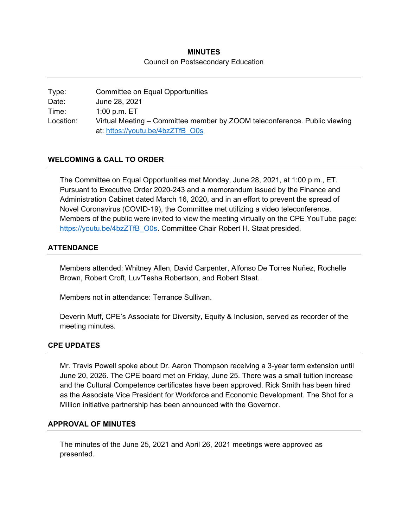# **MINUTES**  Council on Postsecondary Education

Type: Committee on Equal Opportunities Date: June 28, 2021 Time: 1:00 p.m. ET Location: Virtual Meeting – Committee member by ZOOM teleconference. Public viewing at: https://youtu.be/4bzZTfB\_O0s

# **WELCOMING & CALL TO ORDER**

The Committee on Equal Opportunities met Monday, June 28, 2021, at 1:00 p.m., ET. Pursuant to Executive Order 2020-243 and a memorandum issued by the Finance and Administration Cabinet dated March 16, 2020, and in an effort to prevent the spread of Novel Coronavirus (COVID-19), the Committee met utilizing a video teleconference. Members of the public were invited to view the meeting virtually on the CPE YouTube page: https://youtu.be/4bzZTfB\_O0s. Committee Chair Robert H. Staat presided.

### **ATTENDANCE**

Members attended: Whitney Allen, David Carpenter, Alfonso De Torres Nuñez, Rochelle Brown, Robert Croft, Luv'Tesha Robertson, and Robert Staat.

Members not in attendance: Terrance Sullivan.

Deverin Muff, CPE's Associate for Diversity, Equity & Inclusion, served as recorder of the meeting minutes.

#### **CPE UPDATES**

Mr. Travis Powell spoke about Dr. Aaron Thompson receiving a 3-year term extension until June 20, 2026. The CPE board met on Friday, June 25. There was a small tuition increase and the Cultural Competence certificates have been approved. Rick Smith has been hired as the Associate Vice President for Workforce and Economic Development. The Shot for a Million initiative partnership has been announced with the Governor.

#### **APPROVAL OF MINUTES**

The minutes of the June 25, 2021 and April 26, 2021 meetings were approved as presented.